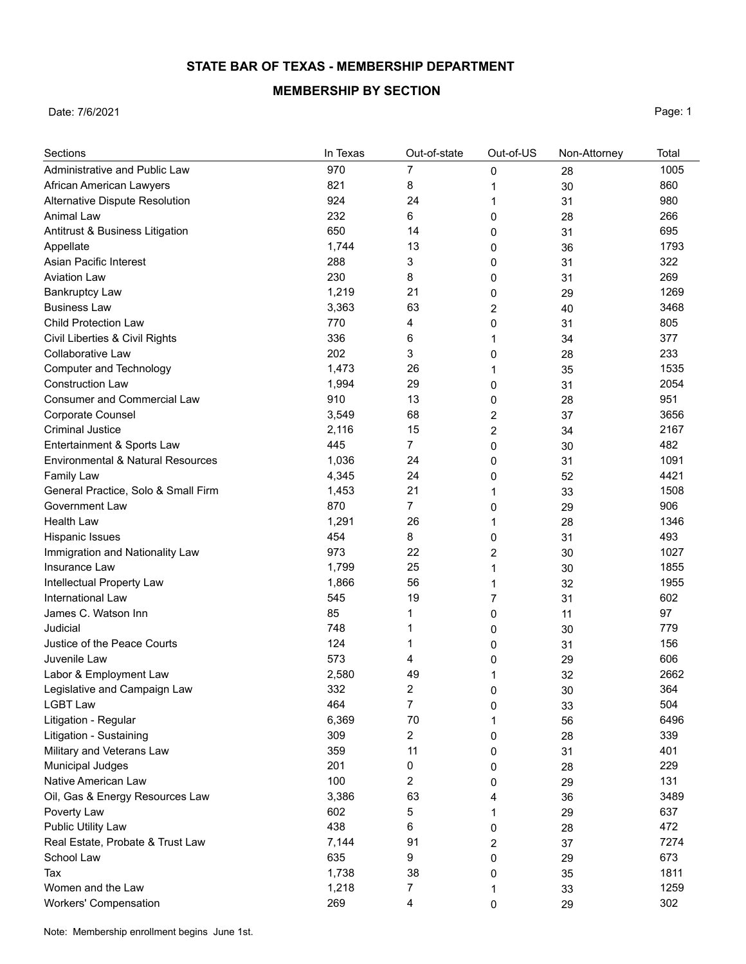## **STATE BAR OF TEXAS - MEMBERSHIP DEPARTMENT**

## **MEMBERSHIP BY SECTION**

Date: 7/6/2021 **Page: 1** 

| Sections                            | In Texas | Out-of-state   | Out-of-US      | Non-Attorney | Total |
|-------------------------------------|----------|----------------|----------------|--------------|-------|
| Administrative and Public Law       | 970      | 7              | 0              | 28           | 1005  |
| African American Lawyers            | 821      | 8              | 1              | 30           | 860   |
| Alternative Dispute Resolution      | 924      | 24             | 1              | 31           | 980   |
| Animal Law                          | 232      | 6              | 0              | 28           | 266   |
| Antitrust & Business Litigation     | 650      | 14             | 0              | 31           | 695   |
| Appellate                           | 1,744    | 13             | 0              | 36           | 1793  |
| Asian Pacific Interest              | 288      | 3              | 0              | 31           | 322   |
| <b>Aviation Law</b>                 | 230      | 8              | 0              | 31           | 269   |
| <b>Bankruptcy Law</b>               | 1,219    | 21             | 0              | 29           | 1269  |
| <b>Business Law</b>                 | 3,363    | 63             | $\overline{2}$ | 40           | 3468  |
| <b>Child Protection Law</b>         | 770      | 4              | 0              | 31           | 805   |
| Civil Liberties & Civil Rights      | 336      | 6              | 1              | 34           | 377   |
| Collaborative Law                   | 202      | 3              | 0              | 28           | 233   |
| <b>Computer and Technology</b>      | 1,473    | 26             | 1              | 35           | 1535  |
| <b>Construction Law</b>             | 1,994    | 29             | 0              | 31           | 2054  |
| <b>Consumer and Commercial Law</b>  | 910      | 13             | 0              | 28           | 951   |
| Corporate Counsel                   | 3,549    | 68             | 2              | 37           | 3656  |
| <b>Criminal Justice</b>             | 2,116    | 15             | $\overline{2}$ | 34           | 2167  |
| Entertainment & Sports Law          | 445      | 7              | 0              | 30           | 482   |
| Environmental & Natural Resources   | 1,036    | 24             | 0              | 31           | 1091  |
| <b>Family Law</b>                   | 4,345    | 24             | 0              | 52           | 4421  |
| General Practice, Solo & Small Firm | 1,453    | 21             | 1              | 33           | 1508  |
| Government Law                      | 870      | 7              | 0              | 29           | 906   |
| <b>Health Law</b>                   | 1,291    | 26             | 1              | 28           | 1346  |
| Hispanic Issues                     | 454      | 8              | 0              | 31           | 493   |
| Immigration and Nationality Law     | 973      | 22             | 2              | 30           | 1027  |
| Insurance Law                       | 1,799    | 25             | 1              | 30           | 1855  |
| Intellectual Property Law           | 1,866    | 56             | 1              | 32           | 1955  |
| International Law                   | 545      | 19             | 7              | 31           | 602   |
| James C. Watson Inn                 | 85       | 1              | 0              | 11           | 97    |
| Judicial                            | 748      | 1              | 0              | 30           | 779   |
| Justice of the Peace Courts         | 124      | 1              | 0              | 31           | 156   |
| Juvenile Law                        | 573      | 4              | 0              | 29           | 606   |
| Labor & Employment Law              | 2,580    | 49             | 1              | 32           | 2662  |
| Legislative and Campaign Law        | 332      | 2              | $\mathbf{0}$   | 30           | 364   |
| <b>LGBT Law</b>                     | 464      | $\overline{7}$ | 0              | 33           | 504   |
| Litigation - Regular                | 6,369    | 70             | 1              | 56           | 6496  |
| Litigation - Sustaining             | 309      | 2              | 0              | 28           | 339   |
| Military and Veterans Law           | 359      | 11             | 0              | 31           | 401   |
| Municipal Judges                    | 201      | 0              | 0              | 28           | 229   |
| Native American Law                 | 100      | 2              | 0              | 29           | 131   |
| Oil, Gas & Energy Resources Law     | 3,386    | 63             | 4              | 36           | 3489  |
| Poverty Law                         | 602      | 5              | 1              | 29           | 637   |
| Public Utility Law                  | 438      | 6              | 0              | 28           | 472   |
| Real Estate, Probate & Trust Law    | 7,144    | 91             | 2              | 37           | 7274  |
| School Law                          | 635      | 9              | 0              | 29           | 673   |
| Tax                                 | 1,738    | 38             | 0              | 35           | 1811  |
| Women and the Law                   | 1,218    | 7              | 1              | 33           | 1259  |
| <b>Workers' Compensation</b>        | 269      | 4              | 0              | 29           | 302   |

Note: Membership enrollment begins June 1st.